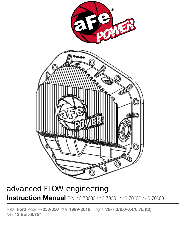

# advanced FLOW engineering **Instruction Manual** P/N: 46-70080 / 46-70081 / 46-70082 / 46-70083

Make: **Ford** Model: **F-250/350** Year: **1999-2016** Engine: **V8-7.3/6.0/6.4/6.7L (td)** Axle: **12 Bolt-9.75"**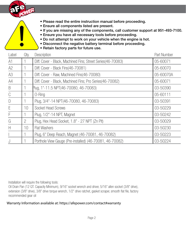

- Please read the entire instruction manual before proceeding.
- Ensure all components listed are present.
- If you are missing any of the components, call customer support at 951-493-7100.
- Ensure you have all necessary tools before proceeding.
- Do not attempt to work on your vehicle when the engine is hot.
- Disconnect the negative battery terminal before proceeding.
- Retain factory parts for future use.

| Label                     | Qty.           | Description                                                 | Part Number |
|---------------------------|----------------|-------------------------------------------------------------|-------------|
| A1                        |                | Diff. Cover - Black, Machined Fins; Street Series(46-70083) | 05-60071    |
| A2                        |                | Diff. Cover - Black Fins(46-70081)                          | 05-60070    |
| A <sub>3</sub>            |                | Diff. Cover - Raw, Machined Fins(46-70080)                  | 05-60070A   |
| AA                        |                | Diff. Cover - Black, Machined Fins; Pro Series(46-70082)    | 05-60071    |
| B                         |                | Plug, 1"-11.5 NPT(46-70080, 46-70083)                       | 03-50390    |
| $\mathcal C$              |                | 0-Ring                                                      | 05-60111    |
| $\mathsf{D}$              |                | Plug, 3/4"-14 NPT(46-70080, 46-70083)                       | 03-50391    |
| E                         | 10             | Socket Head Screws                                          | 03-50229    |
| F                         |                | Plug, 1/2"-14 NPT, Magnet                                   | 03-50242    |
| G                         | $\overline{2}$ | Plug, Hex Head Socket, 1.8" - 27 NPT (Zn Plt)               | 03-50029    |
| $\boldsymbol{\mathsf{H}}$ | 10             | <b>Flat Washers</b>                                         | 03-50230    |
|                           |                | Plug, 6" Deep Reach, Magnet (46-70081, 46-70082)            | 03-50223    |
| J                         |                | Porthole View Gauge (Pre-installed) (46-70081, 46-70082)    | 03-50224    |

Installation will require the following tools:

Oil Drain Pan (12 QT. Capacity Minimum), 9/16" socket wrench and driver, 5/16" allen socket (3/8" drive), extension (3/8" drive), 3/8" drive torque wrench, 1/2" drive ratchet, gasket scraper, smooth flat file, factory recommended gear oil

#### Warranty Information available at: https://afepower.com/contact#warranty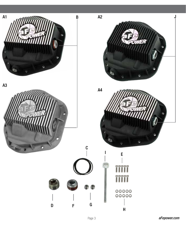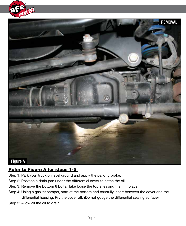



# Refer to Figure A for steps 1-5

- Step 1: Park your truck on level ground and apply the parking brake.
- Step 2: Position a drain pan under the differential cover to catch the oil.
- Step 3: Remove the bottom 8 bolts. Take loose the top 2 leaving them in place.
- Step 4: Using a gasket scraper, start at the bottom and carefully insert between the cover and the differential housing. Pry the cover off. (Do not gouge the differential sealing surface)
- Step 5: Allow all the oil to drain.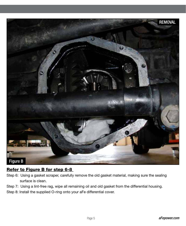

# Refer to Figure B for step 6-8

- Step 6: Using a gasket scraper, carefully remove the old gasket material, making sure the sealing surface is clean.
- Step 7: Using a lint-free rag, wipe all remaining oil and old gasket from the differential housing.
- Step 8: Install the supplied O-ring onto your aFe differential cover.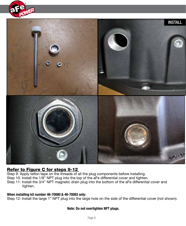



### Refer to Figure C for steps 9-12

Step 9: Apply teflon tape on the threads of all the plug components before installing. Step 10: Install the 1/8" NPT plug into the top of the aFe differential cover and tighten. Step 11: Install the 3/4" NPT magnetic drain plug into the bottom of the aFe differential cover and tighten.

#### **When installing kit number 46-70080 & 46-70083 only:**

Step 12: Install the large 1" NPT plug into the large hole on the side of the differential cover (not shown).

#### **Note: Do not overtighten NPT plugs.**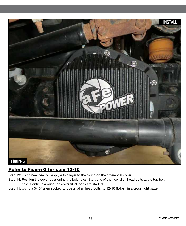

# Refer to Figure G for step 13-15

- Step 13: Using new gear oil, apply a thin layer to the o-ring on the differential cover.
- Step 14: Position the cover by aligning the bolt holes. Start one of the new allen head bolts at the top bolt hole. Continue around the cover till all bolts are started.
- Step 15: Using a 5/16" allen socket, torque all allen head bolts (to 12-16 ft.-lbs.) in a cross tight pattern.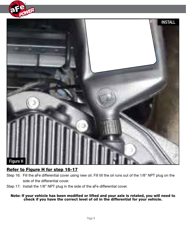



# Refer to Figure H for step 16-17

- Step 16: Fill the aFe differential cover using new oil. Fill till the oil runs out of the 1/8" NPT plug on the side of the differential cover.
- Step 17: Install the 1/8" NPT plug in the side of the aFe differential cover.

Note: If your vehicle has been modified or lifted and your axle is rotated, you will need to check if you have the correct level of oil in the differential for your vehicle.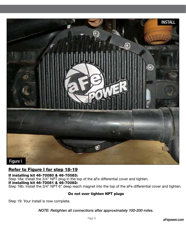

## Refer to Figure I for step 18-19

If installing kit 46-70080 & 46-70083: Step 18a: Install the 3/4" NPT plug in the top of the aFe differential cover and tighten. If installing kit 46-70081 & 46-70082: Step 18b: Install the 3/4" NPT 6" deep reach magnet into the top of the aFe differential cover and tighten.

#### Do not over tighten NPT plugs

Step 19: Your install is now complete.

*NOTE: Retighten all connections after approximately 100-200 miles.*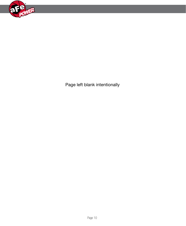

Page left blank intentionally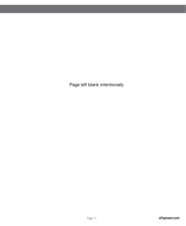Page left blank intentionally